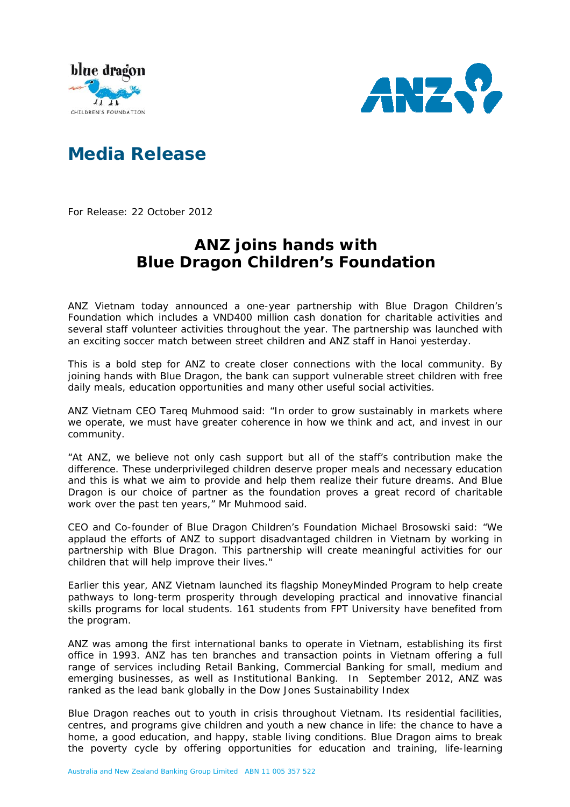



## **Media Release**

For Release: 22 October 2012

## **ANZ joins hands with Blue Dragon Children's Foundation**

ANZ Vietnam today announced a one-year partnership with Blue Dragon Children's Foundation which includes a VND400 million cash donation for charitable activities and several staff volunteer activities throughout the year. The partnership was launched with an exciting soccer match between street children and ANZ staff in Hanoi yesterday.

This is a bold step for ANZ to create closer connections with the local community. By joining hands with Blue Dragon, the bank can support vulnerable street children with free daily meals, education opportunities and many other useful social activities.

ANZ Vietnam CEO Tareq Muhmood said: "In order to grow sustainably in markets where we operate, we must have greater coherence in how we think and act, and invest in our community.

"At ANZ, we believe not only cash support but all of the staff's contribution make the difference. These underprivileged children deserve proper meals and necessary education and this is what we aim to provide and help them realize their future dreams. And Blue Dragon is our choice of partner as the foundation proves a great record of charitable work over the past ten years," Mr Muhmood said.

CEO and Co-founder of Blue Dragon Children's Foundation Michael Brosowski said: "We applaud the efforts of ANZ to support disadvantaged children in Vietnam by working in partnership with Blue Dragon. This partnership will create meaningful activities for our children that will help improve their lives."

Earlier this year, ANZ Vietnam launched its flagship MoneyMinded Program to help create pathways to long-term prosperity through developing practical and innovative financial skills programs for local students. 161 students from FPT University have benefited from the program.

ANZ was among the first international banks to operate in Vietnam, establishing its first office in 1993. ANZ has ten branches and transaction points in Vietnam offering a full range of services including Retail Banking, Commercial Banking for small, medium and emerging businesses, as well as Institutional Banking. In September 2012, ANZ was ranked as the lead bank globally in the Dow Jones Sustainability Index

Blue Dragon reaches out to youth in crisis throughout Vietnam. Its residential facilities, centres, and programs give children and youth a new chance in life: the chance to have a home, a good education, and happy, stable living conditions. Blue Dragon aims to break the poverty cycle by offering opportunities for education and training, life-learning